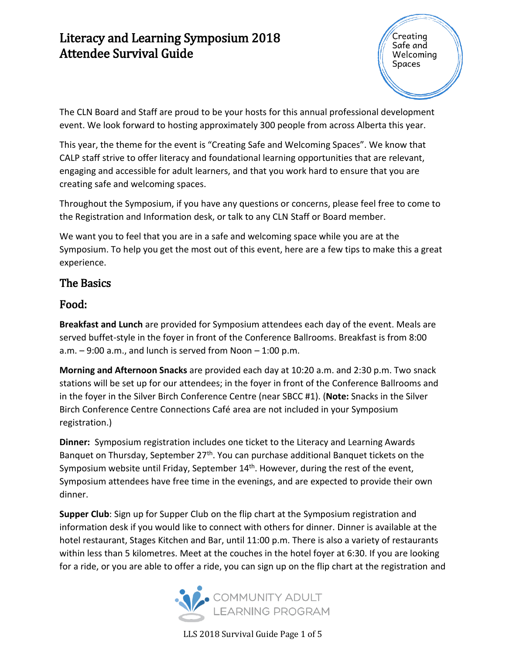Creating Safe and Welcoming Spaces

The CLN Board and Staff are proud to be your hosts for this annual professional development event. We look forward to hosting approximately 300 people from across Alberta this year.

This year, the theme for the event is "Creating Safe and Welcoming Spaces". We know that CALP staff strive to offer literacy and foundational learning opportunities that are relevant, engaging and accessible for adult learners, and that you work hard to ensure that you are creating safe and welcoming spaces.

Throughout the Symposium, if you have any questions or concerns, please feel free to come to the Registration and Information desk, or talk to any CLN Staff or Board member.

We want you to feel that you are in a safe and welcoming space while you are at the Symposium. To help you get the most out of this event, here are a few tips to make this a great experience.

### The Basics

#### Food:

**Breakfast and Lunch** are provided for Symposium attendees each day of the event. Meals are served buffet-style in the foyer in front of the Conference Ballrooms. Breakfast is from 8:00  $a.m. - 9:00 a.m.,$  and lunch is served from Noon  $-1:00 p.m.$ 

**Morning and Afternoon Snacks** are provided each day at 10:20 a.m. and 2:30 p.m. Two snack stations will be set up for our attendees; in the foyer in front of the Conference Ballrooms and in the foyer in the Silver Birch Conference Centre (near SBCC #1). (**Note:** Snacks in the Silver Birch Conference Centre Connections Café area are not included in your Symposium registration.)

**Dinner:** Symposium registration includes one ticket to the Literacy and Learning Awards Banquet on Thursday, September  $27<sup>th</sup>$ . You can purchase additional Banquet tickets on the Symposium website until Friday, September 14<sup>th</sup>. However, during the rest of the event, Symposium attendees have free time in the evenings, and are expected to provide their own dinner.

**Supper Club**: Sign up for Supper Club on the flip chart at the Symposium registration and information desk if you would like to connect with others for dinner. Dinner is available at the hotel restaurant, Stages Kitchen and Bar, until 11:00 p.m. There is also a variety of restaurants within less than 5 kilometres. Meet at the couches in the hotel foyer at 6:30. If you are looking for a ride, or you are able to offer a ride, you can sign up on the flip chart at the registration and



LLS 2018 Survival Guide Page 1 of 5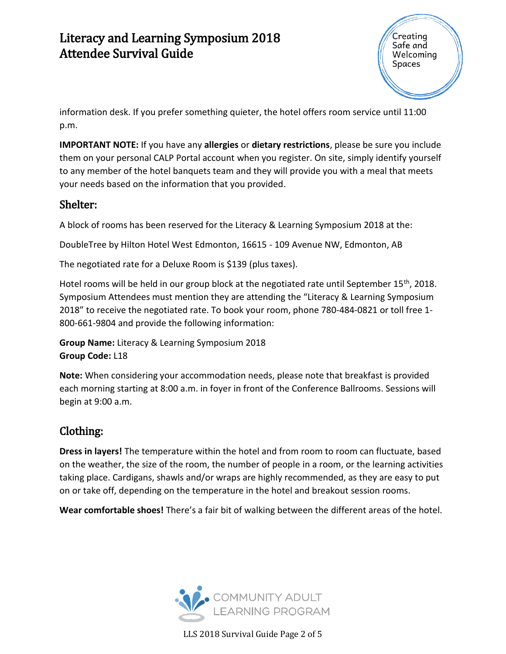

information desk. If you prefer something quieter, the hotel offers room service until 11:00 p.m.

**IMPORTANT NOTE:** If you have any **allergies** or **dietary restrictions**, please be sure you include them on your personal CALP Portal account when you register. On site, simply identify yourself to any member of the hotel banquets team and they will provide you with a meal that meets your needs based on the information that you provided.

#### Shelter:

A block of rooms has been reserved for the Literacy & Learning Symposium 2018 at the:

DoubleTree by Hilton Hotel West Edmonton, 16615 - 109 Avenue NW, Edmonton, AB

The negotiated rate for a Deluxe Room is \$139 (plus taxes).

Hotel rooms will be held in our group block at the negotiated rate until September 15<sup>th</sup>, 2018. Symposium Attendees must mention they are attending the "Literacy & Learning Symposium 2018" to receive the negotiated rate. To book your room, phone 780-484-0821 or toll free 1- 800-661-9804 and provide the following information:

**Group Name:** Literacy & Learning Symposium 2018 **Group Code:** L18

**Note:** When considering your accommodation needs, please note that breakfast is provided each morning starting at 8:00 a.m. in foyer in front of the Conference Ballrooms. Sessions will begin at 9:00 a.m.

#### Clothing:

**Dress in layers!** The temperature within the hotel and from room to room can fluctuate, based on the weather, the size of the room, the number of people in a room, or the learning activities taking place. Cardigans, shawls and/or wraps are highly recommended, as they are easy to put on or take off, depending on the temperature in the hotel and breakout session rooms.

**Wear comfortable shoes!** There's a fair bit of walking between the different areas of the hotel.



LLS 2018 Survival Guide Page 2 of 5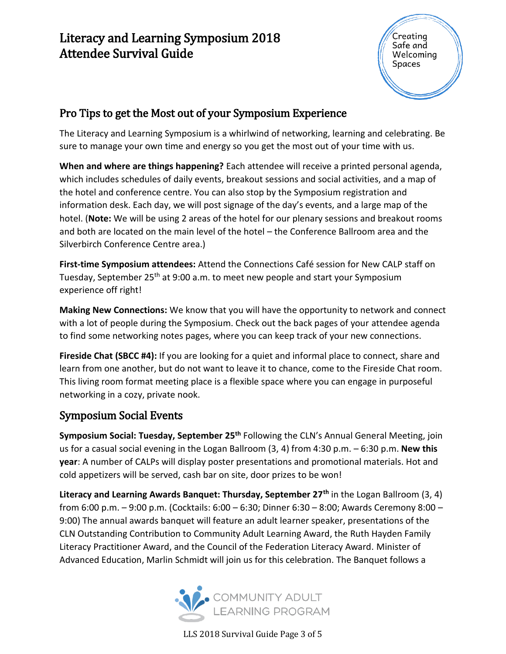

### Pro Tips to get the Most out of your Symposium Experience

The Literacy and Learning Symposium is a whirlwind of networking, learning and celebrating. Be sure to manage your own time and energy so you get the most out of your time with us.

**When and where are things happening?** Each attendee will receive a printed personal agenda, which includes schedules of daily events, breakout sessions and social activities, and a map of the hotel and conference centre. You can also stop by the Symposium registration and information desk. Each day, we will post signage of the day's events, and a large map of the hotel. (**Note:** We will be using 2 areas of the hotel for our plenary sessions and breakout rooms and both are located on the main level of the hotel – the Conference Ballroom area and the Silverbirch Conference Centre area.)

**First-time Symposium attendees:** Attend the Connections Café session for New CALP staff on Tuesday, September 25<sup>th</sup> at 9:00 a.m. to meet new people and start your Symposium experience off right!

**Making New Connections:** We know that you will have the opportunity to network and connect with a lot of people during the Symposium. Check out the back pages of your attendee agenda to find some networking notes pages, where you can keep track of your new connections.

**Fireside Chat (SBCC #4):** If you are looking for a quiet and informal place to connect, share and learn from one another, but do not want to leave it to chance, come to the Fireside Chat room. This living room format meeting place is a flexible space where you can engage in purposeful networking in a cozy, private nook.

#### Symposium Social Events

**Symposium Social: Tuesday, September 25th** Following the CLN's Annual General Meeting, join us for a casual social evening in the Logan Ballroom (3, 4) from 4:30 p.m. – 6:30 p.m. **New this year**: A number of CALPs will display poster presentations and promotional materials. Hot and cold appetizers will be served, cash bar on site, door prizes to be won!

**Literacy and Learning Awards Banquet: Thursday, September 27th** in the Logan Ballroom (3, 4) from 6:00 p.m. – 9:00 p.m. (Cocktails: 6:00 – 6:30; Dinner 6:30 – 8:00; Awards Ceremony 8:00 – 9:00) The annual awards banquet will feature an adult learner speaker, presentations of the CLN Outstanding Contribution to Community Adult Learning Award, the Ruth Hayden Family Literacy Practitioner Award, and the Council of the Federation Literacy Award. Minister of Advanced Education, Marlin Schmidt will join us for this celebration. The Banquet follows a



LLS 2018 Survival Guide Page 3 of 5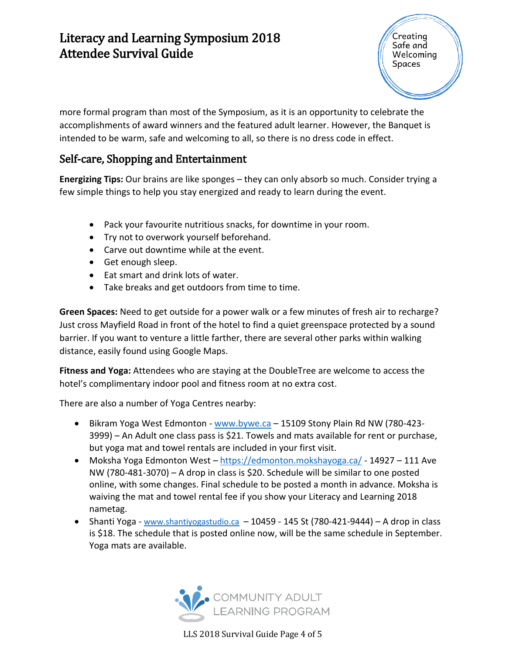Creating Safe and Welcoming Spaces

more formal program than most of the Symposium, as it is an opportunity to celebrate the accomplishments of award winners and the featured adult learner. However, the Banquet is intended to be warm, safe and welcoming to all, so there is no dress code in effect.

#### Self-care, Shopping and Entertainment

**Energizing Tips:** Our brains are like sponges – they can only absorb so much. Consider trying a few simple things to help you stay energized and ready to learn during the event.

- Pack your favourite nutritious snacks, for downtime in your room.
- Try not to overwork yourself beforehand.
- Carve out downtime while at the event.
- Get enough sleep.
- Eat smart and drink lots of water.
- Take breaks and get outdoors from time to time.

**Green Spaces:** Need to get outside for a power walk or a few minutes of fresh air to recharge? Just cross Mayfield Road in front of the hotel to find a quiet greenspace protected by a sound barrier. If you want to venture a little farther, there are several other parks within walking distance, easily found using Google Maps.

**Fitness and Yoga:** Attendees who are staying at the DoubleTree are welcome to access the hotel's complimentary indoor pool and fitness room at no extra cost.

There are also a number of Yoga Centres nearby:

- Bikram Yoga West Edmonton [www.bywe.ca](http://www.bywe.ca/) 15109 Stony Plain Rd NW (780-423- 3999) – An Adult one class pass is \$21. Towels and mats available for rent or purchase, but yoga mat and towel rentals are included in your first visit.
- Moksha Yoga Edmonton West <https://edmonton.mokshayoga.ca/> 14927 111 Ave NW (780-481-3070) – A drop in class is \$20. Schedule will be similar to one posted online, with some changes. Final schedule to be posted a month in advance. Moksha is waiving the mat and towel rental fee if you show your Literacy and Learning 2018 nametag.
- Shanti Yoga [www.shantiyogastudio.ca](http://www.shantiyogastudio.ca/) 10459 145 St (780-421-9444) A drop in class is \$18. The schedule that is posted online now, will be the same schedule in September. Yoga mats are available.



LLS 2018 Survival Guide Page 4 of 5